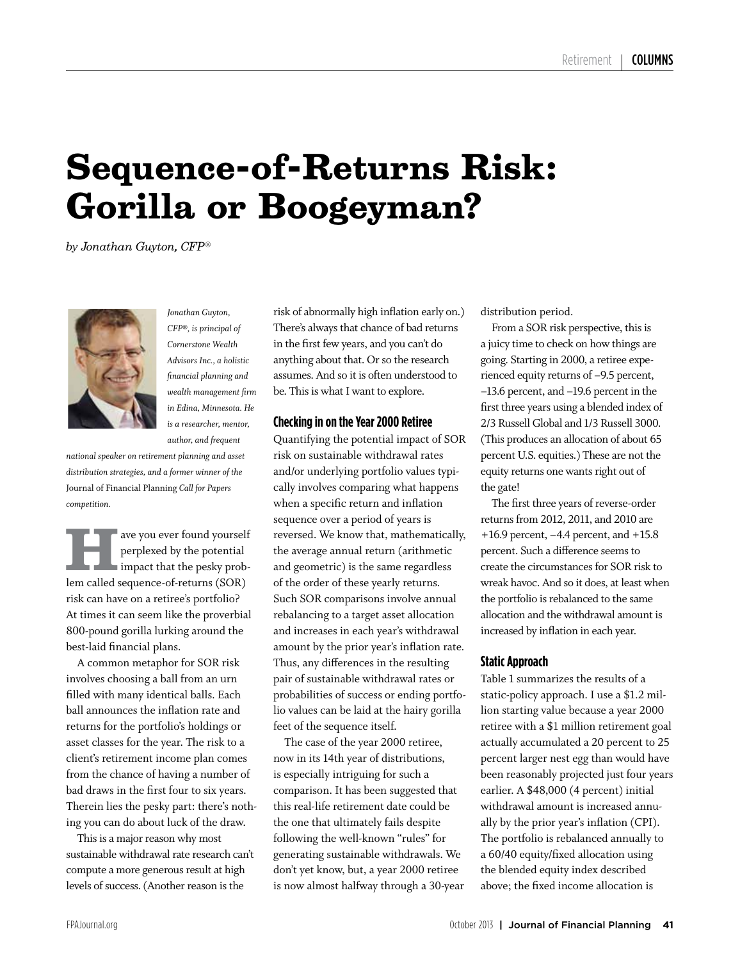## **Sequence-of-Returns Risk: Gorilla or Boogeyman?**

*by Jonathan Guyton, CFP®*



*Jonathan Guyton, CFP®, is principal of Cornerstone Wealth Advisors Inc., a holistic financial planning and wealth management firm in Edina, Minnesota. He is a researcher, mentor, author, and frequent* 

*national speaker on retirement planning and asset distribution strategies, and a former winner of the*  Journal of Financial Planning *Call for Papers competition.*

**Have you ever found yourself<br>
impact that the pesky prob**perplexed by the potential lem called sequence-of-returns (SOR) risk can have on a retiree's portfolio? At times it can seem like the proverbial 800-pound gorilla lurking around the best-laid financial plans.

A common metaphor for SOR risk involves choosing a ball from an urn filled with many identical balls. Each ball announces the inflation rate and returns for the portfolio's holdings or asset classes for the year. The risk to a client's retirement income plan comes from the chance of having a number of bad draws in the first four to six years. Therein lies the pesky part: there's nothing you can do about luck of the draw.

This is a major reason why most sustainable withdrawal rate research can't compute a more generous result at high levels of success. (Another reason is the

risk of abnormally high inflation early on.) There's always that chance of bad returns in the first few years, and you can't do anything about that. Or so the research assumes. And so it is often understood to be. This is what I want to explore.

#### **Checking in on the Year 2000 Retiree**

Quantifying the potential impact of SOR risk on sustainable withdrawal rates and/or underlying portfolio values typically involves comparing what happens when a specific return and inflation sequence over a period of years is reversed. We know that, mathematically, the average annual return (arithmetic and geometric) is the same regardless of the order of these yearly returns. Such SOR comparisons involve annual rebalancing to a target asset allocation and increases in each year's withdrawal amount by the prior year's inflation rate. Thus, any differences in the resulting pair of sustainable withdrawal rates or probabilities of success or ending portfolio values can be laid at the hairy gorilla feet of the sequence itself.

The case of the year 2000 retiree, now in its 14th year of distributions, is especially intriguing for such a comparison. It has been suggested that this real-life retirement date could be the one that ultimately fails despite following the well-known "rules" for generating sustainable withdrawals. We don't yet know, but, a year 2000 retiree is now almost halfway through a 30-year distribution period.

From a SOR risk perspective, this is a juicy time to check on how things are going. Starting in 2000, a retiree experienced equity returns of –9.5 percent, –13.6 percent, and –19.6 percent in the first three years using a blended index of 2/3 Russell Global and 1/3 Russell 3000. (This produces an allocation of about 65 percent U.S. equities.) These are not the equity returns one wants right out of the gate!

The first three years of reverse-order returns from 2012, 2011, and 2010 are +16.9 percent, –4.4 percent, and +15.8 percent. Such a difference seems to create the circumstances for SOR risk to wreak havoc. And so it does, at least when the portfolio is rebalanced to the same allocation and the withdrawal amount is increased by inflation in each year.

#### **Static Approach**

Table 1 summarizes the results of a static-policy approach. I use a \$1.2 million starting value because a year 2000 retiree with a \$1 million retirement goal actually accumulated a 20 percent to 25 percent larger nest egg than would have been reasonably projected just four years earlier. A \$48,000 (4 percent) initial withdrawal amount is increased annually by the prior year's inflation (CPI). The portfolio is rebalanced annually to a 60/40 equity/fixed allocation using the blended equity index described above; the fixed income allocation is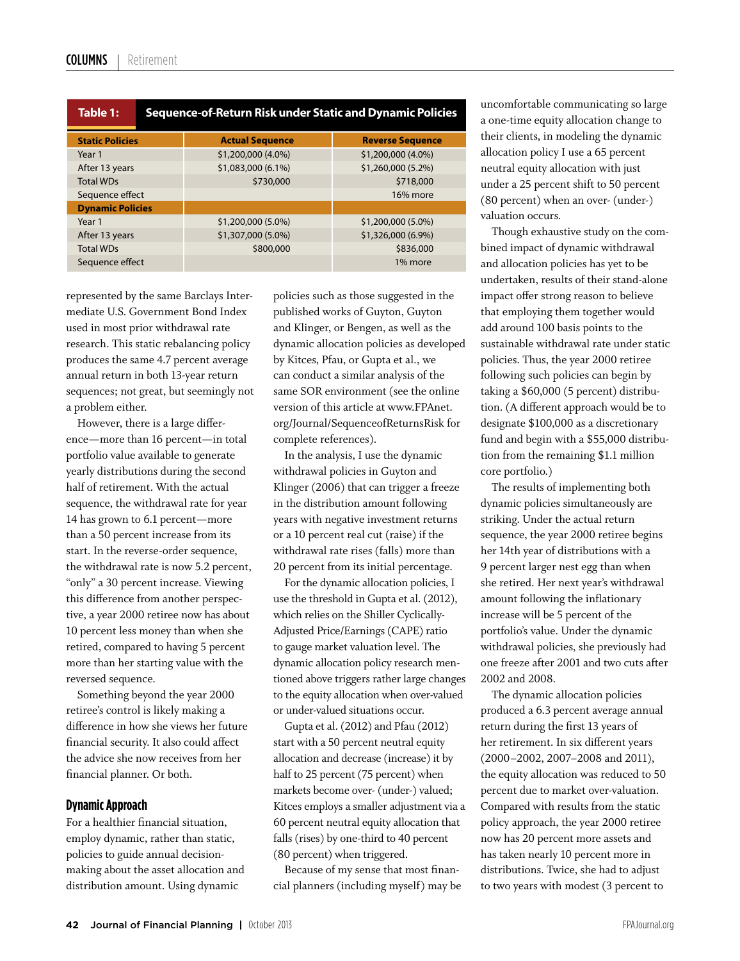| Table 1:                | Sequence-of-Return Risk under Static and Dynamic Policies |                        |                         |
|-------------------------|-----------------------------------------------------------|------------------------|-------------------------|
| <b>Static Policies</b>  |                                                           | <b>Actual Sequence</b> | <b>Reverse Sequence</b> |
| Year 1                  |                                                           | \$1,200,000 (4.0%)     | \$1,200,000 (4.0%)      |
| After 13 years          |                                                           | \$1,083,000 (6.1%)     | \$1,260,000 (5.2%)      |
| <b>Total WDs</b>        |                                                           | \$730,000              | \$718,000               |
| Sequence effect         |                                                           |                        | 16% more                |
| <b>Dynamic Policies</b> |                                                           |                        |                         |
| Year 1                  |                                                           | \$1,200,000 (5.0%)     | \$1,200,000 (5.0%)      |
| After 13 years          |                                                           | \$1,307,000 (5.0%)     | \$1,326,000 (6.9%)      |
| <b>Total WDs</b>        |                                                           | \$800,000              | \$836,000               |
| Sequence effect         |                                                           |                        | 1% more                 |

represented by the same Barclays Intermediate U.S. Government Bond Index used in most prior withdrawal rate research. This static rebalancing policy produces the same 4.7 percent average annual return in both 13-year return sequences; not great, but seemingly not a problem either.

However, there is a large difference—more than 16 percent—in total portfolio value available to generate yearly distributions during the second half of retirement. With the actual sequence, the withdrawal rate for year 14 has grown to 6.1 percent—more than a 50 percent increase from its start. In the reverse-order sequence, the withdrawal rate is now 5.2 percent, "only" a 30 percent increase. Viewing this difference from another perspective, a year 2000 retiree now has about 10 percent less money than when she retired, compared to having 5 percent more than her starting value with the reversed sequence.

Something beyond the year 2000 retiree's control is likely making a difference in how she views her future financial security. It also could affect the advice she now receives from her financial planner. Or both.

#### **Dynamic Approach**

For a healthier financial situation, employ dynamic, rather than static, policies to guide annual decisionmaking about the asset allocation and distribution amount. Using dynamic

policies such as those suggested in the published works of Guyton, Guyton and Klinger, or Bengen, as well as the dynamic allocation policies as developed by Kitces, Pfau, or Gupta et al., we can conduct a similar analysis of the same SOR environment (see the online version of this article at www.FPAnet. org/Journal/SequenceofReturnsRisk for complete references).

In the analysis, I use the dynamic withdrawal policies in Guyton and Klinger (2006) that can trigger a freeze in the distribution amount following years with negative investment returns or a 10 percent real cut (raise) if the withdrawal rate rises (falls) more than 20 percent from its initial percentage.

For the dynamic allocation policies, I use the threshold in Gupta et al. (2012), which relies on the Shiller Cyclically-Adjusted Price/Earnings (CAPE) ratio to gauge market valuation level. The dynamic allocation policy research mentioned above triggers rather large changes to the equity allocation when over-valued or under-valued situations occur.

Gupta et al. (2012) and Pfau (2012) start with a 50 percent neutral equity allocation and decrease (increase) it by half to 25 percent (75 percent) when markets become over- (under-) valued; Kitces employs a smaller adjustment via a 60 percent neutral equity allocation that falls (rises) by one-third to 40 percent (80 percent) when triggered.

Because of my sense that most financial planners (including myself) may be uncomfortable communicating so large a one-time equity allocation change to their clients, in modeling the dynamic allocation policy I use a 65 percent neutral equity allocation with just under a 25 percent shift to 50 percent (80 percent) when an over- (under-) valuation occurs.

Though exhaustive study on the combined impact of dynamic withdrawal and allocation policies has yet to be undertaken, results of their stand-alone impact offer strong reason to believe that employing them together would add around 100 basis points to the sustainable withdrawal rate under static policies. Thus, the year 2000 retiree following such policies can begin by taking a \$60,000 (5 percent) distribution. (A different approach would be to designate \$100,000 as a discretionary fund and begin with a \$55,000 distribution from the remaining \$1.1 million core portfolio.)

The results of implementing both dynamic policies simultaneously are striking. Under the actual return sequence, the year 2000 retiree begins her 14th year of distributions with a 9 percent larger nest egg than when she retired. Her next year's withdrawal amount following the inflationary increase will be 5 percent of the portfolio's value. Under the dynamic withdrawal policies, she previously had one freeze after 2001 and two cuts after 2002 and 2008.

The dynamic allocation policies produced a 6.3 percent average annual return during the first 13 years of her retirement. In six different years (2000–2002, 2007–2008 and 2011), the equity allocation was reduced to 50 percent due to market over-valuation. Compared with results from the static policy approach, the year 2000 retiree now has 20 percent more assets and has taken nearly 10 percent more in distributions. Twice, she had to adjust to two years with modest (3 percent to